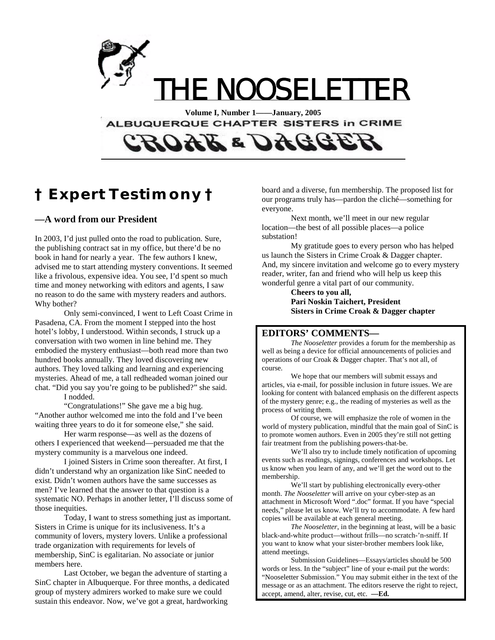

ALBUQUERQUE CHAPTER SISTERS in CRIME

# *OAL & OACCE*

### **† Expert Testimony †**

### **—A word from our President**

In 2003, I'd just pulled onto the road to publication. Sure, the publishing contract sat in my office, but there'd be no book in hand for nearly a year. The few authors I knew, advised me to start attending mystery conventions. It seemed like a frivolous, expensive idea. You see, I'd spent so much time and money networking with editors and agents, I saw no reason to do the same with mystery readers and authors. Why bother?

Only semi-convinced, I went to Left Coast Crime in Pasadena, CA. From the moment I stepped into the host hotel's lobby, I understood. Within seconds, I struck up a conversation with two women in line behind me. They embodied the mystery enthusiast—both read more than two hundred books annually. They loved discovering new authors. They loved talking and learning and experiencing mysteries. Ahead of me, a tall redheaded woman joined our chat. "Did you say you're going to be published?" she said. I nodded.

"Congratulations!" She gave me a big hug. "Another author welcomed me into the fold and I've been waiting three years to do it for someone else," she said.

Her warm response—as well as the dozens of others I experienced that weekend—persuaded me that the mystery community is a marvelous one indeed.

I joined Sisters in Crime soon thereafter. At first, I didn't understand why an organization like SinC needed to exist. Didn't women authors have the same successes as men? I've learned that the answer to that question is a systematic NO. Perhaps in another letter, I'll discuss some of those inequities.

Today, I want to stress something just as important. Sisters in Crime is unique for its inclusiveness. It's a community of lovers, mystery lovers. Unlike a professional trade organization with requirements for levels of membership, SinC is egalitarian. No associate or junior members here.

Last October, we began the adventure of starting a SinC chapter in Albuquerque. For three months, a dedicated group of mystery admirers worked to make sure we could sustain this endeavor. Now, we've got a great, hardworking

board and a diverse, fun membership. The proposed list for our programs truly has—pardon the cliché—something for everyone.

Next month, we'll meet in our new regular location—the best of all possible places—a police substation!

My gratitude goes to every person who has helped us launch the Sisters in Crime Croak & Dagger chapter. And, my sincere invitation and welcome go to every mystery reader, writer, fan and friend who will help us keep this wonderful genre a vital part of our community.

**Cheers to you all, Pari Noskin Taichert, President Sisters in Crime Croak & Dagger chapter** 

### **EDITORS' COMMENTS—**

 *The Nooseletter* provides a forum for the membership as well as being a device for official announcements of policies and operations of our Croak & Dagger chapter. That's not all, of course.

 We hope that our members will submit essays and articles, via e-mail, for possible inclusion in future issues. We are looking for content with balanced emphasis on the different aspects of the mystery genre; e.g., the reading of mysteries as well as the process of writing them.

 Of course, we will emphasize the role of women in the world of mystery publication, mindful that the main goal of SinC is to promote women authors. Even in 2005 they're still not getting fair treatment from the publishing powers-that-be.

 We'll also try to include timely notification of upcoming events such as readings, signings, conferences and workshops. Let us know when you learn of any, and we'll get the word out to the membership.

 We'll start by publishing electronically every-other month. *The Nooseletter* will arrive on your cyber-step as an attachment in Microsoft Word ".doc" format. If you have "special needs," please let us know. We'll try to accommodate. A few hard copies will be available at each general meeting.

*The Nooseletter*, in the beginning at least, will be a basic black-and-white product—without frills—no scratch-'n-sniff. If you want to know what your sister-brother members look like, attend meetings.

 Submission Guidelines—Essays/articles should be 500 words or less. In the "subject" line of your e-mail put the words: "Nooseletter Submission." You may submit either in the text of the message or as an attachment. The editors reserve the right to reject, accept, amend, alter, revise, cut, etc. **—Ed.**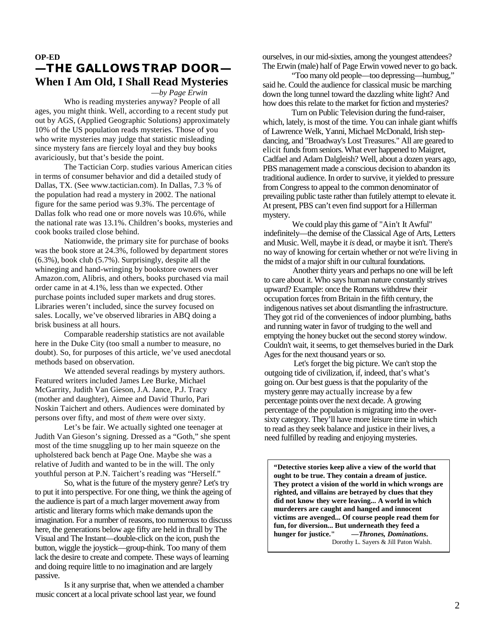### **OP-ED —THE GALLOWS TRAP DOOR— When I Am Old, I Shall Read Mysteries**

—*by Page Erwin* 

 Who is reading mysteries anyway? People of all ages, you might think. Well, according to a recent study put out by AGS, (Applied Geographic Solutions) approximately 10% of the US population reads mysteries. Those of you who write mysteries may judge that statistic misleading since mystery fans are fiercely loyal and they buy books avariciously, but that's beside the point.

 The Tactician Corp. studies various American cities in terms of consumer behavior and did a detailed study of Dallas, TX. (See www.tactician.com). In Dallas, 7.3 % of the population had read a mystery in 2002. The national figure for the same period was 9.3%. The percentage of Dallas folk who read one or more novels was 10.6%, while the national rate was 13.1%. Children's books, mysteries and cook books trailed close behind.

 Nationwide, the primary site for purchase of books was the book store at 24.3%, followed by department stores (6.3%), book club (5.7%). Surprisingly, despite all the whineging and hand-wringing by bookstore owners over Amazon.com, Alibris, and others, books purchased via mail order came in at 4.1%, less than we expected. Other purchase points included super markets and drug stores. Libraries weren't included, since the survey focused on sales. Locally, we've observed libraries in ABQ doing a brisk business at all hours.

 Comparable readership statistics are not available here in the Duke City (too small a number to measure, no doubt). So, for purposes of this article, we've used anecdotal methods based on observation.

We attended several readings by mystery authors. Featured writers included James Lee Burke, Michael McGarrity, Judith Van Gieson, J.A. Jance, P.J. Tracy (mother and daughter), Aimee and David Thurlo, Pari Noskin Taichert and others. Audiences were dominated by persons over fifty, and most of *them* were over sixty.

 Let's be fair. We actually sighted one teenager at Judith Van Gieson's signing. Dressed as a "Goth," she spent most of the time snuggling up to her main squeeze on the upholstered back bench at Page One. Maybe she was a relative of Judith and wanted to be in the will. The only youthful person at P.N. Taichert's reading was "Herself."

So, what is the future of the mystery genre? Let's try to put it into perspective. For one thing, we think the ageing of the audience is part of a much larger movement away from artistic and literary forms which make demands upon the imagination. For a number of reasons, too numerous to discuss here, the generations below age fifty are held in thrall by The Visual and The Instant—double-click on the icon, push the button, wiggle the joystick—group-think. Too many of them lack the desire to create and compete. These ways of learning and doing require little to no imagination and are largely passive.

 Is it any surprise that, when we attended a chamber music concert at a local private school last year, we found

ourselves, in our mid-sixties, among the youngest attendees? The Erwin (male) half of Page Erwin vowed never to go back.

"Too many old people—too depressing—humbug," said he. Could the audience for classical music be marching down the long tunnel toward the dazzling white light? And how does this relate to the market for fiction and mysteries?

Turn on Public Television during the fund-raiser, which, lately, is most of the time. You can inhale giant whiffs of Lawrence Welk, Yanni, Michael McDonald, Irish stepdancing, and "Broadway's Lost Treasures." All are geared to elicit funds from seniors. What ever happened to Maigret*,*  Cadfael and Adam Dalgleish? Well, about a dozen years ago, PBS management made a conscious decision to abandon its traditional audience. In order to survive, it yielded to pressure from Congress to appeal to the common denominator of prevailing public taste rather than futilely attempt to elevate it. At present, PBS can't even find support for a Hillerman mystery.

We could play this game of "Ain't It Awful" indefinitely—the demise of the Classical Age of Arts, Letters and Music. Well, maybe it *is* dead, or maybe it isn't. There's no way of knowing for certain whether or not we're living in the midst of a major shift in our cultural foundations.

Another thirty years and perhaps no one will be left to care about it. Who says human nature constantly strives upward? Example: once the Romans withdrew their occupation forces from Britain in the fifth century, the indigenous natives set about dismantling the infrastructure. They got rid of the conveniences of indoor plumbing, baths and running water in favor of trudging to the well and emptying the honey bucket out the second storey window. Couldn't wait, it seems, to get themselves buried in the Dark Ages for the next thousand years or so.

Let's forget the big picture. We can't stop the outgoing tide of civilization, if, indeed, that's what's going on. Our best guess is that the popularity of the mystery genre may actually increase by a few percentage points over the next decade. A growing percentage of the population is migrating into the oversixty category. They'll have more leisure time in which to read as they seek balance and justice in their lives, a need fulfilled by reading and enjoying mysteries.

**"Detective stories keep alive a view of the world that ought to be true. They contain a dream of justice. They protect a vision of the world in which wrongs are righted, and villains are betrayed by clues that they did not know they were leaving... A world in which murderers are caught and hanged and innocent victims are avenged... Of course people read them for fun, for diversion... But underneath they feed a hunger for justice."** *—Thrones, Dominations***.**  Dorothy L. Sayers & Jill Paton Walsh.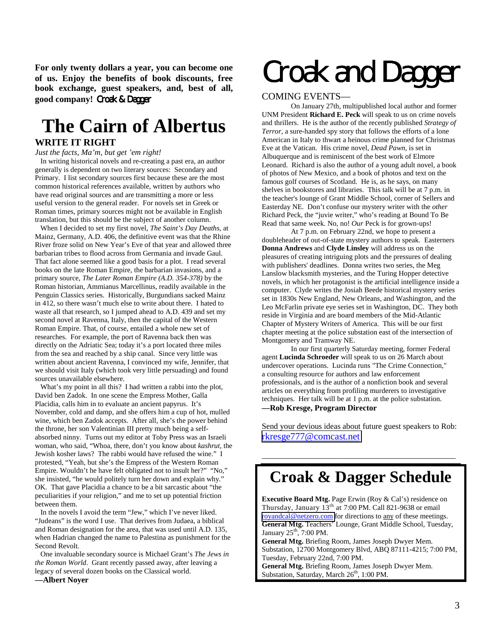**For only twenty dollars a year, you can become one of us. Enjoy the benefits of book discounts, free book exchange, guest speakers, and, best of all, good company!** Croak & Dagger

## **The Cairn of Albertus**

### **WRITE IT RIGHT**

#### *Just the facts, Ma'm, but get 'em right!*

 In writing historical novels and re-creating a past era, an author generally is dependent on two literary sources: Secondary and Primary. I list secondary sources first because these are the most common historical references available, written by authors who have read original sources and are transmitting a more or less useful version to the general reader. For novels set in Greek or Roman times, primary sources might not be available in English translation, but this should be the subject of another column.

 When I decided to set my first novel, *The Saint's Day Deaths*, at Mainz, Germany, A.D. 406, the definitive event was that the Rhine River froze solid on New Year's Eve of that year and allowed three barbarian tribes to flood across from Germania and invade Gaul. That fact alone seemed like a good basis for a plot. I read several books on the late Roman Empire, the barbarian invasions, and a primary source, *The Later Roman Empire (A.D. 354-378)* by the Roman historian, Ammianus Marcellinus, readily available in the Penguin Classics series. Historically, Burgundians sacked Mainz in 412, so there wasn't much else to write about there. I hated to waste all that research, so I jumped ahead to A.D. 439 and set my second novel at Ravenna, Italy, then the capital of the Western Roman Empire. That, of course, entailed a whole new set of researches. For example, the port of Ravenna back then was directly on the Adriatic Sea; today it's a port located three miles from the sea and reached by a ship canal. Since very little was written about ancient Ravenna, I convinced my wife, Jennifer, that we should visit Italy (which took very little persuading) and found sources unavailable elsewhere.

 What's my point in all this? I had written a rabbi into the plot, David ben Zadok. In one scene the Empress Mother, Galla Placidia, calls him in to evaluate an ancient papyrus. It's November, cold and damp, and she offers him a cup of hot, mulled wine, which ben Zadok accepts. After all, she's the power behind the throne, her son Valentinian III pretty much being a selfabsorbed ninny. Turns out my editor at Toby Press was an Israeli woman, who said, "Whoa, there, don't you know about *kashrut,* the Jewish kosher laws? The rabbi would have refused the wine." I protested, "Yeah, but she's the Empress of the Western Roman Empire. Wouldn't he have felt obligated not to insult her?" "No," she insisted, "he would politely turn her down and explain why." OK. That gave Placidia a chance to be a bit sarcastic about "the peculiarities if your religion," and me to set up potential friction between them.

 In the novels I avoid the term "Jew," which I've never liked. "Judeans" is the word I use. That derives from Judaea, a biblical and Roman designation for the area, that was used until A.D. 135, when Hadrian changed the name to Palestina as punishment for the Second Revolt.

 One invaluable secondary source is Michael Grant's *The Jews in the Roman World*. Grant recently passed away, after leaving a legacy of several dozen books on the Classical world.

**—Albert Noyer** 

# **Croak and Dagger**

### COMING EVENTS—

 On January 27th, multipublished local author and former UNM President **Richard E. Peck** will speak to us on crime novels and thrillers. He is the author of the recently published *Strategy of Terror*, a sure-handed spy story that follows the efforts of a lone American in Italy to thwart a heinous crime planned for Christmas Eve at the Vatican. His crime novel, *Dead Pawn*, is set in Albuquerque and is reminiscent of the best work of Elmore Leonard. Richard is also the author of a young adult novel, a book of photos of New Mexico, and a book of photos and text on the famous golf courses of Scotland. He is, as he says, on many shelves in bookstores and libraries. This talk will be at 7 p.m. in the teacher's lounge of Grant Middle School, corner of Sellers and Easterday NE. Don't confuse our mystery writer with the *other* Richard Peck, the "juvie writer," who's reading at Bound To Be Read that same week. No, no! *Our* Peck is for grown-ups!

 At 7 p.m. on February 22nd, we hope to present a doubleheader of out-of-state mystery authors to speak. Easterners **Donna Andrews** and **Clyde Linsley** will address us on the pleasures of creating intriguing plots and the pressures of dealing with publishers' deadlines. Donna writes two series, the Meg Lanslow blacksmith mysteries, and the Turing Hopper detective novels, in which her protagonist is the artificial intelligence inside a computer. Clyde writes the Josiah Beede historical mystery series set in 1830s New England, New Orleans, and Washington, and the Leo McFarlin private eye series set in Washington, DC. They both reside in Virginia and are board members of the Mid-Atlantic Chapter of Mystery Writers of America. This will be our first chapter meeting at the police substation east of the intersection of Montgomery and Tramway NE.

 In our first quarterly Saturday meeting, former Federal agent **Lucinda Schroeder** will speak to us on 26 March about undercover operations. Lucinda runs "The Crime Connection," a consulting resource for authors and law enforcement professionals, and is the author of a nonfiction book and several articles on everything from profiling murderers to investigative techniques. Her talk will be at 1 p.m. at the police substation. **—Rob Kresge, Program Director** 

Send your devious ideas about future guest speakers to Rob: [rkresge777@comcast.net](mailto:rkresge777@comcast.net)

### **Croak & Dagger Schedule**

————————————————————————

**Executive Board Mtg.** Page Erwin (Roy & Cal's) residence on Thursday, January  $13<sup>th</sup>$  at 7:00 PM. Call 821-9638 or email [royandcal@netzero.com](mailto:royandcal@netzero.com) for directions to any of these meetings. **General Mtg.** Teachers' Lounge, Grant Middle School, Tuesday, January  $25<sup>th</sup>$ , 7:00 PM.

**General Mtg.** Briefing Room, James Joseph Dwyer Mem. Substation, 12700 Montgomery Blvd, ABQ 87111-4215; 7:00 PM, Tuesday, February 22nd, 7:00 PM.

**General Mtg.** Briefing Room, James Joseph Dwyer Mem. Substation, Saturday, March 26<sup>th</sup>, 1:00 PM.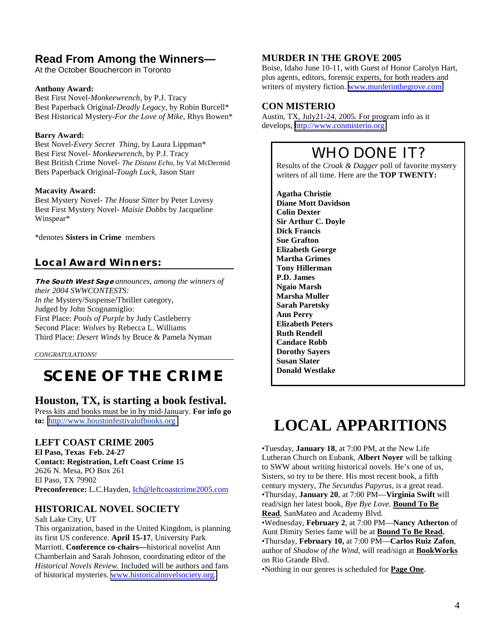### **Read From Among the Winners—**

At the October Bouchercon in Toronto

#### **Anthony Award:**

Best First Novel-*Monkeewrench*, by P.J. Tracy Best Paperback Original-*Deadly Legacy*, by Robin Burcell\* Best Historical Mystery-*For the Love of Mike*, Rhys Bowen\*

#### **Barry Award:**

Best Novel-*Every Secret Thing*, by Laura Lippman\* Best First Novel- *Monkeewrench*, by P.J. Tracy Best British Crime Novel- *The Distant Echo*, by Val McDermid Bets Paperback Original-*Tough Luck*, Jason Starr

#### **Macavity Award:**

Best Mystery Novel- *The House Sitter* by Peter Lovesy Best First Mystery Novel- *Maisie Dobbs* by Jacqueline Winspear\*

\*denotes **Sisters in Crime** members

### **Local Award Winners:**

**The South West Sage** *announces, among the winners of their 2004 SWWCONTESTS: In the* Mystery/Suspense/Thriller category, Judged by John Scognamiglio: First Place: *Pools of Purple* by Judy Castleberry Second Place: *Wolves* by Rebecca L. Williams Third Place: *Desert Winds* by Bruce & Pamela Nyman

*CONGRATULATIONS!* 

### **SCENE OF THE CRIME**

### **Houston, TX, is starting a book festival.**

Press kits and books must be in by mid-January. **For info go to:** [http://www.houstonfestivalofbooks.org](http://www.houstonfestivalofbooks.org/)

### **LEFT COAST CRIME 2005**

**El Paso, Texas Feb. 24-27 Contact: Registration, Left Coast Crime 15**  2626 N. Mesa, PO Box 261 El Paso, TX 79902 Preconference: L.C.Hayden, *Ich@leftcoastcrime2005.com* 

### **HISTORICAL NOVEL SOCIETY**

Salt Lake City, UT

This organization, based in the United Kingdom, is planning its first US conference. **April 15-17**, University Park Marriott. **Conference co-chairs—**historical novelist Ann Chamberlain and Sarah Johnson, coordinating editor of the *Historical Novels Review.* Included will be authors and fans of historical mysteries. [www.historicalnovelsociety.org](http://www.historicalnovelsociety.org/)*.* 

### **MURDER IN THE GROVE 2005**

Boise, Idaho June 10-11, with Guest of Honor Carolyn Hart, plus agents, editors, forensic experts, for both readers and writers of mystery fiction. [www.murderinthegrove.com](http://www.murderinthegrove.com/)

### **CON MISTERIO**

Austin, TX, July21-24, 2005. For program info as it develops, [http://www.conmisterio.org](http://www.conmisterio.org/)

### WHO DONE IT?

Results of the *Croak & Dagger* poll of favorite mystery writers of all time. Here are the **TOP TWENTY:** 

**Agatha Christie Diane Mott Davidson Colin Dexter Sir Arthur C. Doyle Dick Francis Sue Grafton Elizabeth George Martha Grimes Tony Hillerman P.D. James Ngaio Marsh Marsha Muller Sarah Paretsky Ann Perry Elizabeth Peters Ruth Rendell Candace Robb Dorothy Sayers Susan Slater Donald Westlake** 

### **LOCAL APPARITIONS**

•Tuesday, **January 18**, at 7:00 PM, at the New Life Lutheran Church on Eubank, **Albert Noyer** will be talking to SWW about writing historical novels. He's one of us, Sisters, so try to be there. His most recent book, a fifth century mystery, *The Secundus Papyrus,* is a great read. •Thursday, **January 20**, at 7:00 PM—**Virginia Swift** will read/sign her latest book, *Bye Bye Love.* **Bound To Be Read**, SanMateo and Academy Blvd.

•Wednesday, **February 2**, at 7:00 PM—**Nancy Atherton** of Aunt Dimity Series fame will be at **Bound To Be Read.** •Thursday, **February 10,** at 7:00 PM—**Carlos Ruiz Zafon**, author of *Shadow of the Wind*, will read/sign at **BookWorks** on Rio Grande Blvd.

•Nothing in our genres is scheduled for **Page One**.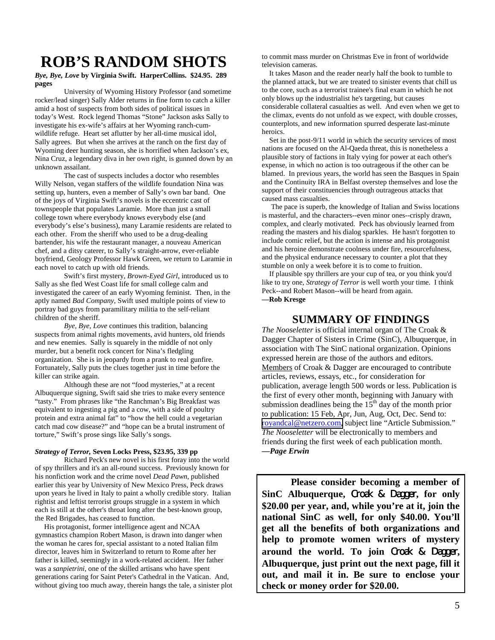### **ROB'S RANDOM SHOTS**

#### *Bye, Bye, Love* **by Virginia Swift. HarperCollins. \$24.95. 289 pages**

 University of Wyoming History Professor (and sometime rocker/lead singer) Sally Alder returns in fine form to catch a killer amid a host of suspects from both sides of political issues in today's West. Rock legend Thomas "Stone" Jackson asks Sally to investigate his ex-wife's affairs at her Wyoming ranch-cumwildlife refuge. Heart set aflutter by her all-time musical idol, Sally agrees. But when she arrives at the ranch on the first day of Wyoming deer hunting season, she is horrified when Jackson's ex, Nina Cruz, a legendary diva in her own right, is gunned down by an unknown assailant.

 The cast of suspects includes a doctor who resembles Willy Nelson, vegan staffers of the wildlife foundation Nina was setting up, hunters, even a member of Sally's own bar band. One of the joys of Virginia Swift's novels is the eccentric cast of townspeople that populates Laramie. More than just a small college town where everybody knows everybody else (and everybody's else's business), many Laramie residents are related to each other. From the sheriff who used to be a drug-dealing bartender, his wife the restaurant manager, a nouveau American chef, and a ditsy caterer, to Sally's straight-arrow, ever-reliable boyfriend, Geology Professor Hawk Green, we return to Laramie in each novel to catch up with old friends.

 Swift's first mystery, *Brown-Eyed Girl*, introduced us to Sally as she fled West Coast life for small college calm and investigated the career of an early Wyoming feminist. Then, in the aptly named *Bad Company*, Swift used multiple points of view to portray bad guys from paramilitary militia to the self-reliant children of the sheriff.

*Bye, Bye, Love* continues this tradition, balancing suspects from animal rights movements, avid hunters, old friends and new enemies. Sally is squarely in the middle of not only murder, but a benefit rock concert for Nina's fledgling organization. She is in jeopardy from a prank to real gunfire. Fortunately, Sally puts the clues together just in time before the killer can strike again.

 Although these are not "food mysteries," at a recent Albuquerque signing, Swift said she tries to make every sentence "tasty." From phrases like "the Ranchman's Big Breakfast was equivalent to ingesting a pig and a cow, with a side of poultry protein and extra animal fat" to "how the hell could a vegetarian catch mad cow disease?" and "hope can be a brutal instrument of torture," Swift's prose sings like Sally's songs.

#### *Strategy of Terror,* **Seven Locks Press, \$23.95, 339 pp**

 Richard Peck's new novel is his first foray into the world of spy thrillers and it's an all-round success. Previously known for his nonfiction work and the crime novel *Dead Pawn*, published earlier this year by University of New Mexico Press, Peck draws upon years he lived in Italy to paint a wholly credible story. Italian rightist and leftist terrorist groups struggle in a system in which each is still at the other's throat long after the best-known group, the Red Brigades, has ceased to function.

 His protagonist, former intelligence agent and NCAA gymnastics champion Robert Mason, is drawn into danger when the woman he cares for, special assistant to a noted Italian film director, leaves him in Switzerland to return to Rome after her father is killed, seemingly in a work-related accident. Her father was a *sanpietrini*, one of the skilled artisans who have spent generations caring for Saint Peter's Cathedral in the Vatican. And, without giving too much away, therein hangs the tale, a sinister plot to commit mass murder on Christmas Eve in front of worldwide television cameras.

 It takes Mason and the reader nearly half the book to tumble to the planned attack, but we are treated to sinister events that chill us to the core, such as a terrorist trainee's final exam in which he not only blows up the industrialist he's targeting, but causes considerable collateral casualties as well. And even when we get to the climax, events do not unfold as we expect, with double crosses, counterplots, and new information spurred desperate last-minute heroics.

 Set in the post-9/11 world in which the security services of most nations are focused on the Al-Qaeda threat, this is nonetheless a plausible story of factions in Italy vying for power at each other's expense, in which no action is too outrageous if the other can be blamed. In previous years, the world has seen the Basques in Spain and the Continuity IRA in Belfast overstep themselves and lose the support of their constituencies through outrageous attacks that caused mass casualties.

 The pace is superb, the knowledge of Italian and Swiss locations is masterful, and the characters--even minor ones--crisply drawn, complex, and clearly motivated. Peck has obviously learned from reading the masters and his dialog sparkles. He hasn't forgotten to include comic relief, but the action is intense and his protagonist and his heroine demonstrate coolness under fire, resourcefulness, and the physical endurance necessary to counter a plot that they stumble on only a week before it is to come to fruition.

 If plausible spy thrillers are your cup of tea, or you think you'd like to try one, *Strategy of Terror* is well worth your time. I think Peck--and Robert Mason--will be heard from again. **—Rob Kresge** 

### **SUMMARY OF FINDINGS**

*The Nooseletter* is official internal organ of The Croak & Dagger Chapter of Sisters in Crime (SinC), Albuquerque, in association with The SinC national organization. Opinions expressed herein are those of the authors and editors. Members of Croak & Dagger are encouraged to contribute articles, reviews, essays, etc., for consideration for publication, average length 500 words or less. Publication is the first of every other month, beginning with January with submission deadlines being the  $15<sup>th</sup>$  day of the month prior to publication: 15 Feb, Apr, Jun, Aug, Oct, Dec. Send to: [royandcal@netzero.com,](mailto:royandcal@netzero.com) subject line "Article Submission." *The Nooseletter* will be electronically to members and friends during the first week of each publication month. **—***Page Erwin* 

 **Please consider becoming a member of SinC Albuquerque,** Croak & Dagger**, for only \$20.00 per year, and, while you're at it, join the national SinC as well, for only \$40.00. You'll get all the benefits of both organizations and help to promote women writers of mystery around the world. To join** Croak & Dagger**, Albuquerque, just print out the next page, fill it out, and mail it in. Be sure to enclose your check or money order for \$20.00.**